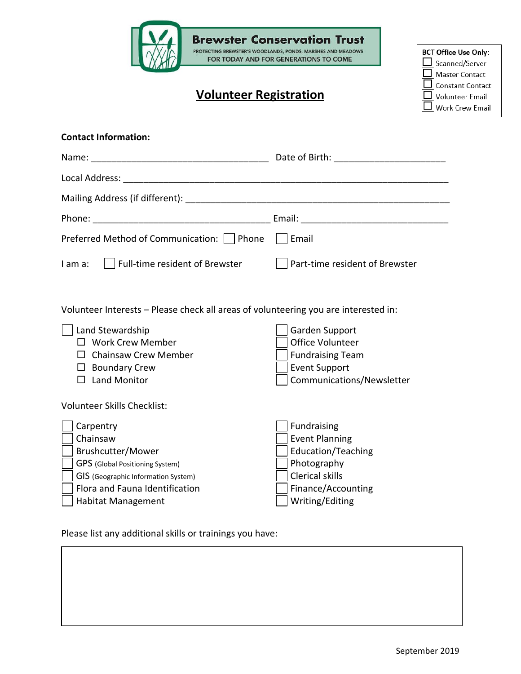|                                                                                                                                                                                                                    | <b>Brewster Conservation Trust</b>                                                                                                                  |                                                                                                                                         |
|--------------------------------------------------------------------------------------------------------------------------------------------------------------------------------------------------------------------|-----------------------------------------------------------------------------------------------------------------------------------------------------|-----------------------------------------------------------------------------------------------------------------------------------------|
| PROTECTING BREWSTER'S WOODLANDS, PONDS, MARSHES AND MEADOWS<br>FOR TODAY AND FOR GENERATIONS TO COME<br><b>Volunteer Registration</b>                                                                              |                                                                                                                                                     | <b>BCT Office Use Only:</b><br>Scanned/Server<br><b>Master Contact</b><br>Constant Contact<br><b>Volunteer Email</b><br>Work Crew Email |
| <b>Contact Information:</b>                                                                                                                                                                                        |                                                                                                                                                     |                                                                                                                                         |
|                                                                                                                                                                                                                    |                                                                                                                                                     |                                                                                                                                         |
|                                                                                                                                                                                                                    |                                                                                                                                                     |                                                                                                                                         |
|                                                                                                                                                                                                                    |                                                                                                                                                     |                                                                                                                                         |
| Preferred Method of Communication:   Phone                                                                                                                                                                         | Email                                                                                                                                               |                                                                                                                                         |
| Full-time resident of Brewster<br>I am a:                                                                                                                                                                          | Part-time resident of Brewster                                                                                                                      |                                                                                                                                         |
| Volunteer Interests - Please check all areas of volunteering you are interested in:<br>Land Stewardship<br>$\Box$ Work Crew Member<br><b>Chainsaw Crew Member</b><br><b>Boundary Crew</b><br><b>Land Monitor</b>   | Garden Support<br>Office Volunteer<br><b>Fundraising Team</b><br><b>Event Support</b><br>Communications/Newsletter                                  |                                                                                                                                         |
| Volunteer Skills Checklist:<br>Carpentry<br>Chainsaw<br>Brushcutter/Mower<br>GPS (Global Positioning System)<br>GIS (Geographic Information System)<br>Flora and Fauna Identification<br><b>Habitat Management</b> | Fundraising<br><b>Event Planning</b><br><b>Education/Teaching</b><br>Photography<br><b>Clerical skills</b><br>Finance/Accounting<br>Writing/Editing |                                                                                                                                         |
| Please list any additional skills or trainings you have:                                                                                                                                                           |                                                                                                                                                     |                                                                                                                                         |